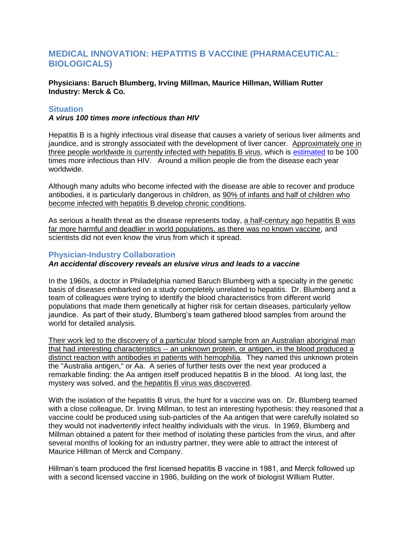# **MEDICAL INNOVATION: HEPATITIS B VACCINE (PHARMACEUTICAL: BIOLOGICALS)**

**Physicians: Baruch Blumberg, Irving Millman, Maurice Hillman, William Rutter Industry: Merck & Co.**

### **Situation**

#### *A virus 100 times more infectious than HIV*

Hepatitis B is a highly infectious viral disease that causes a variety of serious liver ailments and jaundice, and is strongly associated with the development of liver cancer. Approximately one in three people worldwide is currently infected with hepatitis B virus, which is [estimated](http://www.hepb.org/hepb/statistics.htm) to be 100 times more infectious than HIV. Around a million people die from the disease each year worldwide.

Although many adults who become infected with the disease are able to recover and produce antibodies, it is particularly dangerous in children, as 90% of infants and half of children who become infected with hepatitis B develop chronic conditions.

As serious a health threat as the disease represents today, a half-century ago hepatitis B was far more harmful and deadlier in world populations, as there was no known vaccine, and scientists did not even know the virus from which it spread.

### **Physician-Industry Collaboration**

## *An accidental discovery reveals an elusive virus and leads to a vaccine*

In the 1960s, a doctor in Philadelphia named Baruch Blumberg with a specialty in the genetic basis of diseases embarked on a study completely unrelated to hepatitis. Dr. Blumberg and a team of colleagues were trying to identify the blood characteristics from different world populations that made them genetically at higher risk for certain diseases, particularly yellow jaundice. As part of their study, Blumberg's team gathered blood samples from around the world for detailed analysis.

Their work led to the discovery of a particular blood sample from an Australian aboriginal man that had interesting characteristics -- an unknown protein, or antigen, in the blood produced a distinct reaction with antibodies in patients with hemophilia. They named this unknown protein the "Australia antigen," or Aa. A series of further tests over the next year produced a remarkable finding: the Aa antigen itself produced hepatitis B in the blood. At long last, the mystery was solved, and the hepatitis B virus was discovered.

With the isolation of the hepatitis B virus, the hunt for a vaccine was on. Dr. Blumberg teamed with a close colleague, Dr. Irving Millman, to test an interesting hypothesis: they reasoned that a vaccine could be produced using sub-particles of the Aa antigen that were carefully isolated so they would not inadvertently infect healthy individuals with the virus. In 1969, Blumberg and Millman obtained a patent for their method of isolating these particles from the virus, and after several months of looking for an industry partner, they were able to attract the interest of Maurice Hillman of Merck and Company.

Hillman's team produced the first licensed hepatitis B vaccine in 1981, and Merck followed up with a second licensed vaccine in 1986, building on the work of biologist William Rutter.